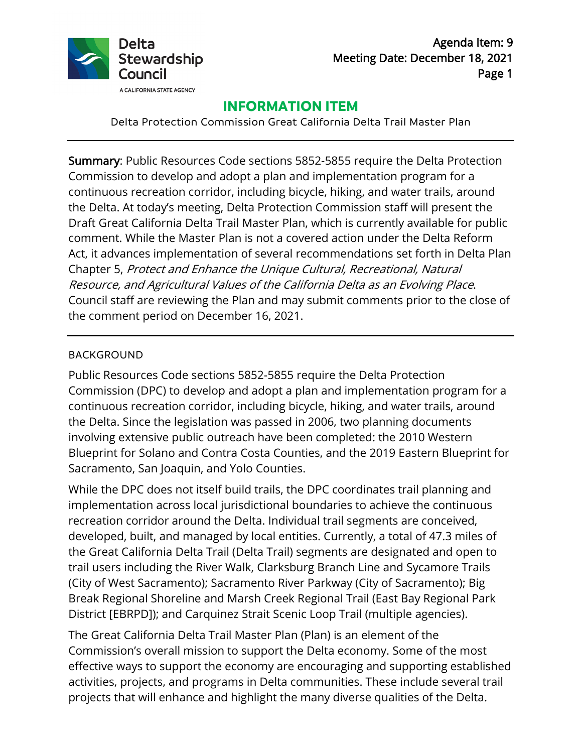

# **INFORMATION ITEM**

Delta Protection Commission Great California Delta Trail Master Plan

Summary: Public Resources Code sections 5852-5855 require the Delta Protection Commission to develop and adopt a plan and implementation program for a continuous recreation corridor, including bicycle, hiking, and water trails, around the Delta. At today's meeting, Delta Protection Commission staff will present the Draft Great California Delta Trail Master Plan, which is currently available for public comment. While the Master Plan is not a covered action under the Delta Reform Act, it advances implementation of several recommendations set forth in Delta Plan Chapter 5, Protect and Enhance the Unique Cultural, Recreational, Natural Resource, and Agricultural Values of the California Delta as an Evolving Place. Council staff are reviewing the Plan and may submit comments prior to the close of the comment period on December 16, 2021.

### BACKGROUND

Public Resources Code sections 5852-5855 require the Delta Protection Commission (DPC) to develop and adopt a plan and implementation program for a continuous recreation corridor, including bicycle, hiking, and water trails, around the Delta. Since the legislation was passed in 2006, two planning documents involving extensive public outreach have been completed: the 2010 Western Blueprint for Solano and Contra Costa Counties, and the 2019 Eastern Blueprint for Sacramento, San Joaquin, and Yolo Counties.

While the DPC does not itself build trails, the DPC coordinates trail planning and implementation across local jurisdictional boundaries to achieve the continuous recreation corridor around the Delta. Individual trail segments are conceived, developed, built, and managed by local entities. Currently, a total of 47.3 miles of the Great California Delta Trail (Delta Trail) segments are designated and open to trail users including the River Walk, Clarksburg Branch Line and Sycamore Trails (City of West Sacramento); Sacramento River Parkway (City of Sacramento); Big Break Regional Shoreline and Marsh Creek Regional Trail (East Bay Regional Park District [EBRPD]); and Carquinez Strait Scenic Loop Trail (multiple agencies).

The Great California Delta Trail Master Plan (Plan) is an element of the Commission's overall mission to support the Delta economy. Some of the most effective ways to support the economy are encouraging and supporting established activities, projects, and programs in Delta communities. These include several trail projects that will enhance and highlight the many diverse qualities of the Delta.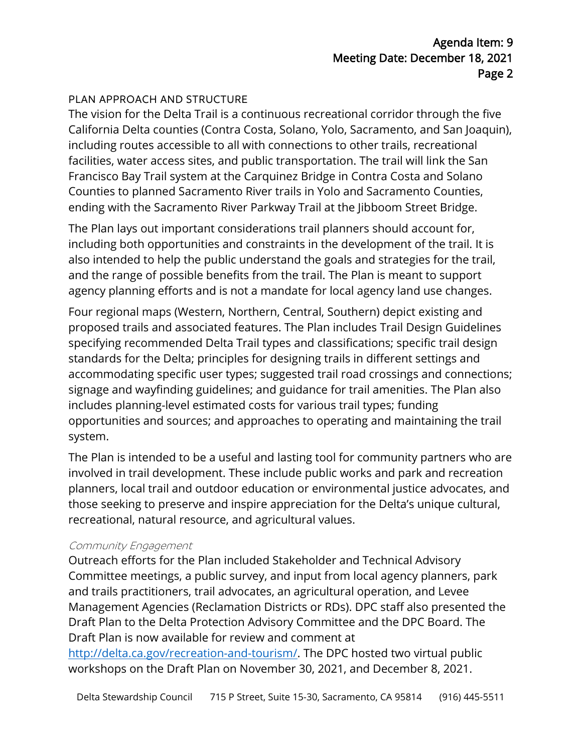## PLAN APPROACH AND STRUCTURE

The vision for the Delta Trail is a continuous recreational corridor through the five California Delta counties (Contra Costa, Solano, Yolo, Sacramento, and San Joaquin), including routes accessible to all with connections to other trails, recreational facilities, water access sites, and public transportation. The trail will link the San Francisco Bay Trail system at the Carquinez Bridge in Contra Costa and Solano Counties to planned Sacramento River trails in Yolo and Sacramento Counties, ending with the Sacramento River Parkway Trail at the Jibboom Street Bridge.

The Plan lays out important considerations trail planners should account for, including both opportunities and constraints in the development of the trail. It is also intended to help the public understand the goals and strategies for the trail, and the range of possible benefits from the trail. The Plan is meant to support agency planning efforts and is not a mandate for local agency land use changes.

Four regional maps (Western, Northern, Central, Southern) depict existing and proposed trails and associated features. The Plan includes Trail Design Guidelines specifying recommended Delta Trail types and classifications; specific trail design standards for the Delta; principles for designing trails in different settings and accommodating specific user types; suggested trail road crossings and connections; signage and wayfinding guidelines; and guidance for trail amenities. The Plan also includes planning-level estimated costs for various trail types; funding opportunities and sources; and approaches to operating and maintaining the trail system.

The Plan is intended to be a useful and lasting tool for community partners who are involved in trail development. These include public works and park and recreation planners, local trail and outdoor education or environmental justice advocates, and those seeking to preserve and inspire appreciation for the Delta's unique cultural, recreational, natural resource, and agricultural values.

#### Community Engagement

Outreach efforts for the Plan included Stakeholder and Technical Advisory Committee meetings, a public survey, and input from local agency planners, park and trails practitioners, trail advocates, an agricultural operation, and Levee Management Agencies (Reclamation Districts or RDs). DPC staff also presented the Draft Plan to the Delta Protection Advisory Committee and the DPC Board. The Draft Plan is now available for review and comment at

[http://delta.ca.gov/recreation-and-tourism/.](http://delta.ca.gov/recreation-and-tourism/) The DPC hosted two virtual public workshops on the Draft Plan on November 30, 2021, and December 8, 2021.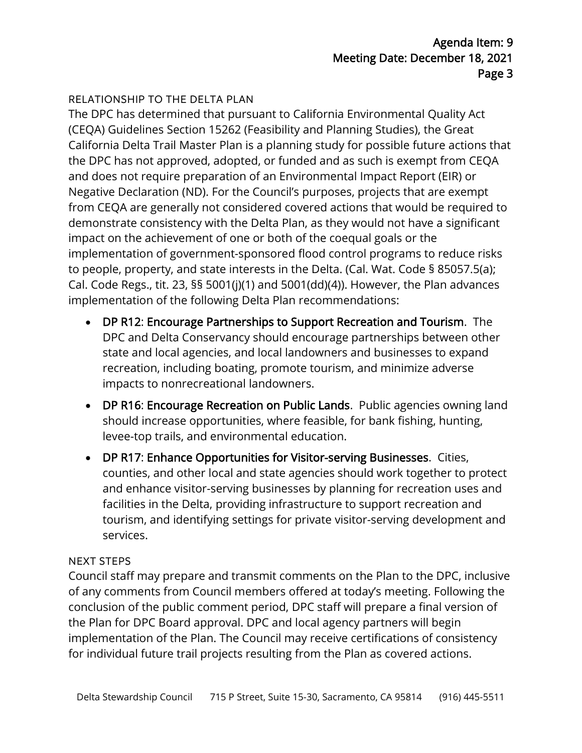## RELATIONSHIP TO THE DELTA PLAN

The DPC has determined that pursuant to California Environmental Quality Act (CEQA) Guidelines Section 15262 (Feasibility and Planning Studies), the Great California Delta Trail Master Plan is a planning study for possible future actions that the DPC has not approved, adopted, or funded and as such is exempt from CEQA and does not require preparation of an Environmental Impact Report (EIR) or Negative Declaration (ND). For the Council's purposes, projects that are exempt from CEQA are generally not considered covered actions that would be required to demonstrate consistency with the Delta Plan, as they would not have a significant impact on the achievement of one or both of the coequal goals or the implementation of government-sponsored flood control programs to reduce risks to people, property, and state interests in the Delta. (Cal. Wat. Code § 85057.5(a); Cal. Code Regs., tit. 23, §§ 5001(j)(1) and 5001(dd)(4)). However, the Plan advances implementation of the following Delta Plan recommendations:

- DP R12: Encourage Partnerships to Support Recreation and Tourism. The DPC and Delta Conservancy should encourage partnerships between other state and local agencies, and local landowners and businesses to expand recreation, including boating, promote tourism, and minimize adverse impacts to nonrecreational landowners.
- DP R16: Encourage Recreation on Public Lands. Public agencies owning land should increase opportunities, where feasible, for bank fishing, hunting, levee-top trails, and environmental education.
- DP R17: Enhance Opportunities for Visitor-serving Businesses. Cities, counties, and other local and state agencies should work together to protect and enhance visitor-serving businesses by planning for recreation uses and facilities in the Delta, providing infrastructure to support recreation and tourism, and identifying settings for private visitor-serving development and services.

#### NEXT STEPS

Council staff may prepare and transmit comments on the Plan to the DPC, inclusive of any comments from Council members offered at today's meeting. Following the conclusion of the public comment period, DPC staff will prepare a final version of the Plan for DPC Board approval. DPC and local agency partners will begin implementation of the Plan. The Council may receive certifications of consistency for individual future trail projects resulting from the Plan as covered actions.